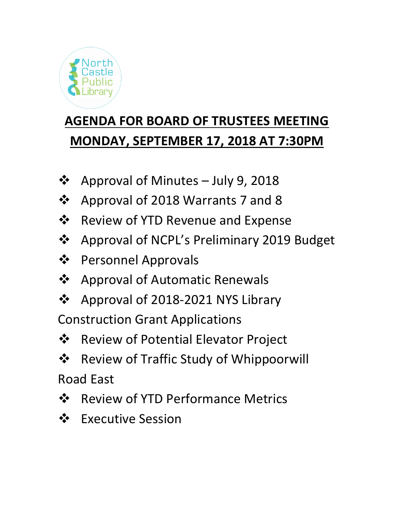

## **AGENDA FOR BOARD OF TRUSTEES MEETING MONDAY, SEPTEMBER 17, 2018 AT 7:30PM**

- ❖ Approval of Minutes July 9, 2018
- ❖ Approval of 2018 Warrants 7 and 8
- $\dots$  Review of YTD Revenue and Expense
- ❖ Approval of NCPL's Preliminary 2019 Budget
- Personnel Approvals
- **❖** Approval of Automatic Renewals
- ❖ Approval of 2018-2021 NYS Library

Construction Grant Applications

- $\triangle$  Review of Potential Elevator Project
- $\triangle$  Review of Traffic Study of Whippoorwill Road East
- ❖ Review of YTD Performance Metrics
- ❖ Executive Session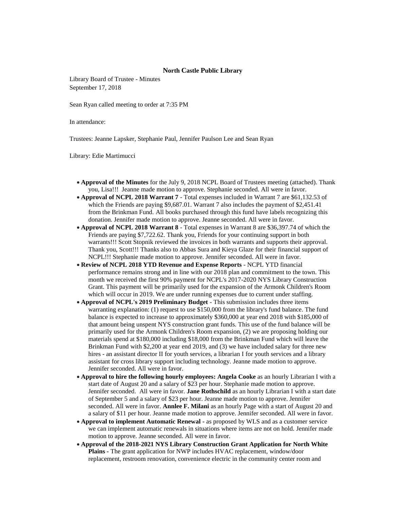## **North Castle Public Library**

Library Board of Trustee - Minutes September 17, 2018

Sean Ryan called meeting to order at 7:35 PM

In attendance:

Trustees: Jeanne Lapsker, Stephanie Paul, Jennifer Paulson Lee and Sean Ryan

Library: Edie Martimucci

- **Approval of the Minutes** for the July 9, 2018 NCPL Board of Trustees meeting (attached). Thank you, Lisa!!! Jeanne made motion to approve. Stephanie seconded. All were in favor.
- **Approval of NCPL 2018 Warrant 7** Total expenses included in Warrant 7 are \$61,132.53 of which the Friends are paying \$9,687.01. Warrant 7 also includes the payment of \$2,451.41 from the Brinkman Fund. All books purchased through this fund have labels recognizing this donation. Jennifer made motion to approve. Jeanne seconded. All were in favor.
- **Approval of NCPL 2018 Warrant 8** Total expenses in Warrant 8 are \$36,397.74 of which the Friends are paying \$7,722.62. Thank you, Friends for your continuing support in both warrants!!! Scott Stopnik reviewed the invoices in both warrants and supports their approval. Thank you, Scott!!! Thanks also to Abbas Sura and Kieya Glaze for their financial support of NCPL!!! Stephanie made motion to approve. Jennifer seconded. All were in favor.
- **Review of NCPL 2018 YTD Revenue and Expense Reports** NCPL YTD financial performance remains strong and in line with our 2018 plan and commitment to the town. This month we received the first 90% payment for NCPL's 2017-2020 NYS Library Construction Grant. This payment will be primarily used for the expansion of the Armonk Children's Room which will occur in 2019. We are under running expenses due to current under staffing.
- **Approval of NCPL's 2019 Preliminary Budget** This submission includes three items warranting explanation: (1) request to use \$150,000 from the library's fund balance. The fund balance is expected to increase to approximately \$360,000 at year end 2018 with \$185,000 of that amount being unspent NYS construction grant funds. This use of the fund balance will be primarily used for the Armonk Children's Room expansion, (2) we are proposing holding our materials spend at \$180,000 including \$18,000 from the Brinkman Fund which will leave the Brinkman Fund with \$2,200 at year end 2019, and (3) we have included salary for three new hires - an assistant director II for youth services, a librarian I for youth services and a library assistant for cross library support including technology. Jeanne made motion to approve. Jennifer seconded. All were in favor.
- **Approval to hire the following hourly employees: Angela Cooke** as an hourly Librarian I with a start date of August 20 and a salary of \$23 per hour. Stephanie made motion to approve. Jennifer seconded. All were in favor. **Jane Rothschild** as an hourly Librarian I with a start date of September 5 and a salary of \$23 per hour. Jeanne made motion to approve. Jennifer seconded. All were in favor. **Annlee F. Milani** as an hourly Page with a start of August 20 and a salary of \$11 per hour. Jeanne made motion to approve. Jennifer seconded. All were in favor.
- **Approval to implement Automatic Renewal -** as proposed by WLS and as a customer service we can implement automatic renewals in situations where items are not on hold. Jennifer made motion to approve. Jeanne seconded. All were in favor.
- **Approval of the 2018-2021 NYS Library Construction Grant Application for North White Plains -** The grant application for NWP includes HVAC replacement, window/door replacement, restroom renovation, convenience electric in the community center room and